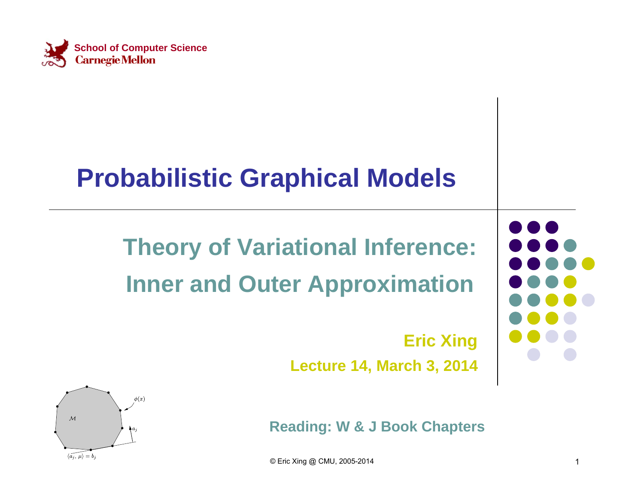

#### **Probabilistic Graphical Models**

#### **Theory of Variational Inference: Inner and Outer Approximation**

#### **Eric Xing**

**Lecture 14, March 3, 2014**



**Reading: W & J Book Chapters**

© Eric Xing @ CMU, 2005-2014 1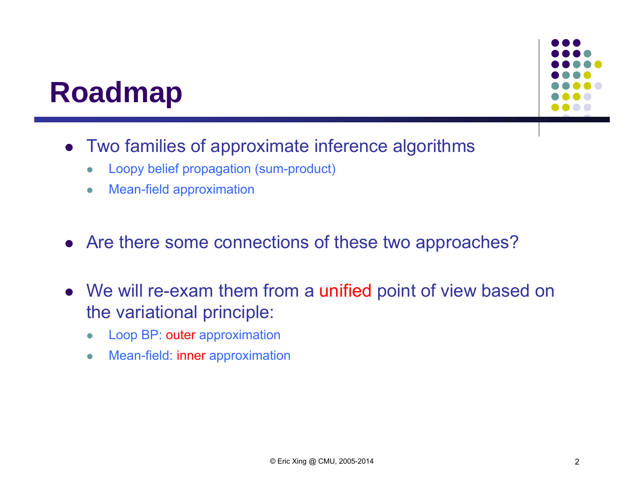#### **Roadmap**



- Two families of approximate inference algorithms
	- $\bullet$ Loopy belief propagation (sum-product)
	- $\bullet$ Mean-field approximation
- Are there some connections of these two approaches?
- We will re-exam them from a unified point of view based on the variational principle:
	- $\bullet$ Loop BP: outer approximation
	- $\bullet$ Mean-field: inner approximation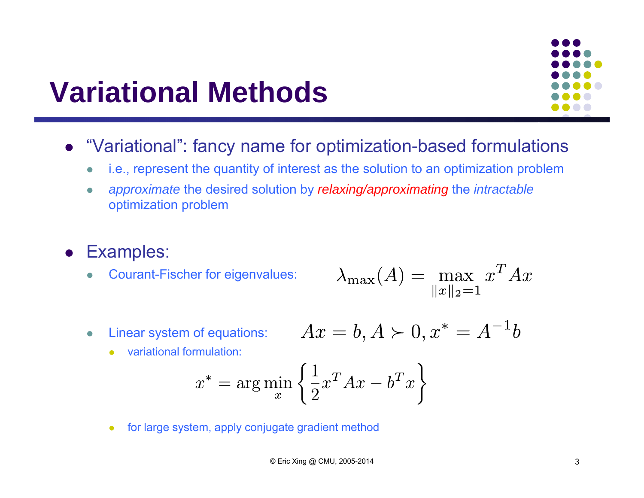#### **Variational Methods**



- "Variational": fancy name for optimization-based formulations
	- $\bullet$ i.e., represent the quantity of interest as the solution to an optimization problem
	- $\bullet$  *approximate* the desired solution by *relaxing/approximating* the *intractable* optimization problem
- **•** Examples:
	- $\bullet$ Courant-Fischer for eigenvalues:

$$
\lambda_{\max}(A) = \max_{\|x\|_2 = 1} x^T A x
$$

 $\bullet$ Linear system of equations:

$$
Ax = b, A \succ 0, x^* = A^{-1}b
$$

 $\bullet$ variational formulation:

$$
x^* = \arg\min_x \left\{ \frac{1}{2} x^T A x - b^T x \right\}
$$

 $\bullet$ for large system, apply conjugate gradient method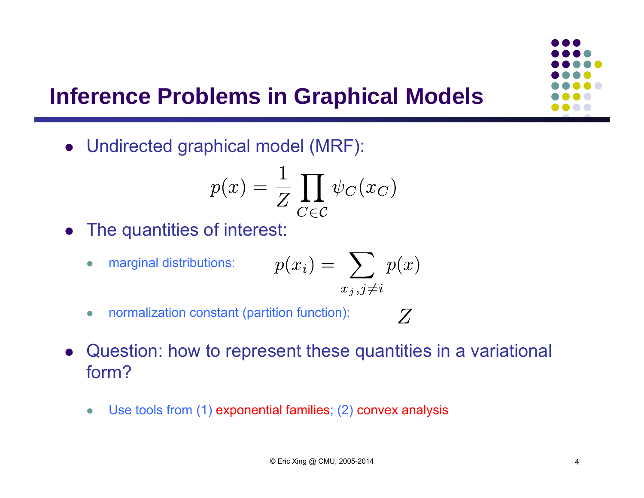#### **Inference Problems in Graphical Models**

Undirected graphical model (MRF):

$$
p(x) = \frac{1}{Z} \prod_{C \in \mathcal{C}} \psi_C(x_C)
$$

The quantities of interest:

 $\bullet$ 

• marginal distributions: 
$$
p(x_i) = \sum_{x_j, j \neq i} p(x)
$$

- $\bullet$ normalization constant (partition function):
- $\bullet$  Question: how to represent these quantities in a variational form?

 $Z$ 

 $\bullet$ Use tools from (1) exponential families; (2) convex analysis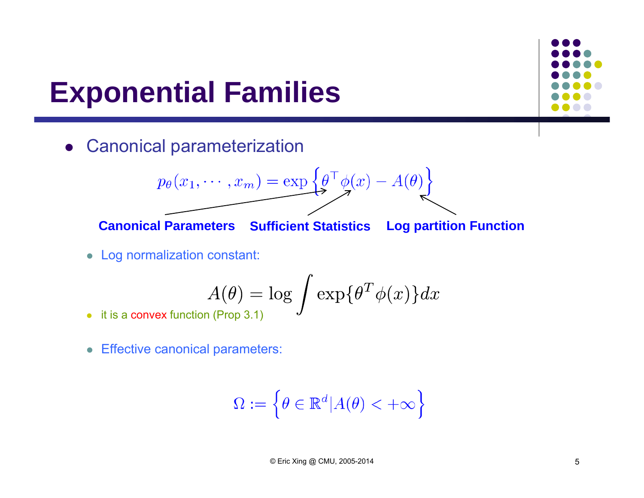#### **Exponential Families**

Canonical parameterization

$$
p_{\theta}(x_1, \cdots, x_m) = \exp\left\{\theta^{\top} \phi(x) - A(\theta)\right\}
$$

**Canonical Parameters Sufficient Statistics Log partition Function**

Log normalization constant:

$$
A(\theta) = \log \int \exp\{\theta^T \phi(x)\} dx
$$

- it is a convex function (Prop 3.1)
- Effective canonical parameters:

$$
\Omega := \left\{ \theta \in \mathbb{R}^d | A(\theta) < +\infty \right\}
$$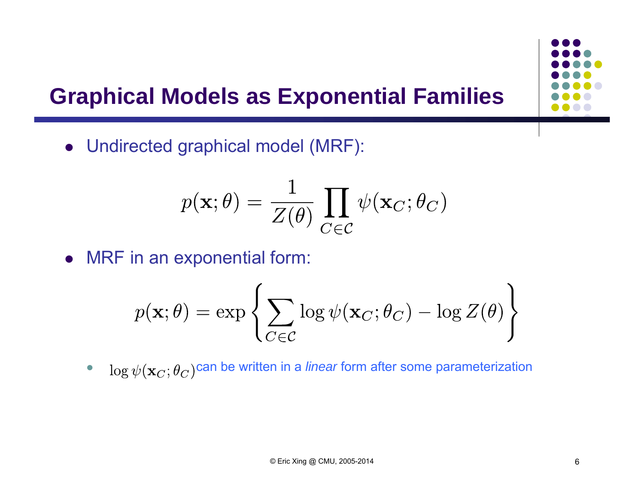# **Graphical Models as Exponential Families**



$$
p(\mathbf{x};\theta) = \frac{1}{Z(\theta)} \prod_{C \in \mathcal{C}} \psi(\mathbf{x}_C; \theta_C)
$$

MRF in an exponential form:

$$
p(\mathbf{x};\theta) = \exp \left\{ \sum_{C \in \mathcal{C}} \log \psi(\mathbf{x}_C; \theta_C) - \log Z(\theta) \right\}
$$

 $\bullet$  $\log \psi({\bf x}_C; \theta_C)$ can be written in a *linear* form after some parameterization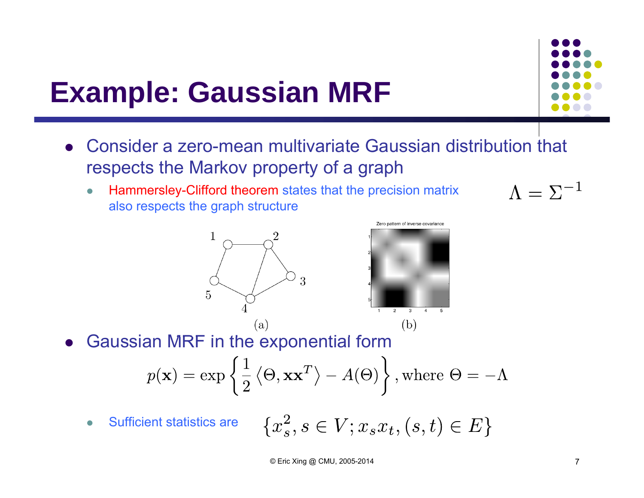## **Example: Gaussian MRF**



 $\bullet$  Hammersley-Clifford theorem states that the precision matrix also respects the graph structure





 $\bullet$ Gaussian MRF in the exponential form

$$
p(\mathbf{x}) = \exp\left\{\frac{1}{2} \langle \Theta, \mathbf{x} \mathbf{x}^T \rangle - A(\Theta) \right\}
$$
, where  $\Theta = -\Lambda$ 

 $\{x_s^2, s \in V; x_s x_t, (s,t) \in E\}$  Sufficient statistics are  $\bullet$ 

© Eric Xing @ CMU, 2005-2014

 $\Lambda = \Sigma^{-1}$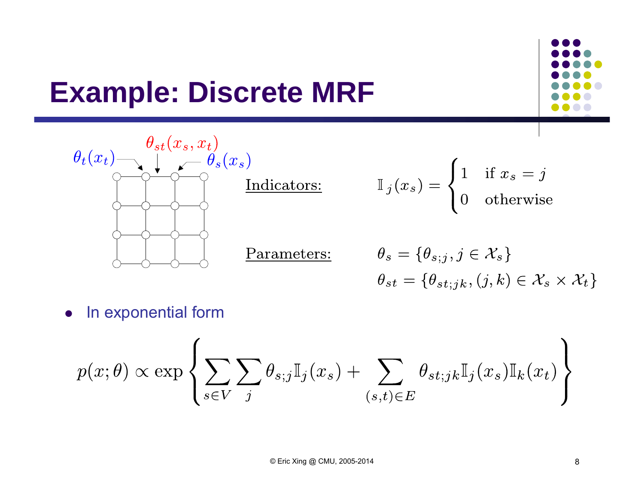### **Example: Discrete MRF**





0 In exponential form

$$
p(x; \theta) \propto \exp \left\{ \sum_{s \in V} \sum_{j} \theta_{s; j} \mathbb{I}_{j}(x_s) + \sum_{(s,t) \in E} \theta_{st; jk} \mathbb{I}_{j}(x_s) \mathbb{I}_{k}(x_t) \right\}
$$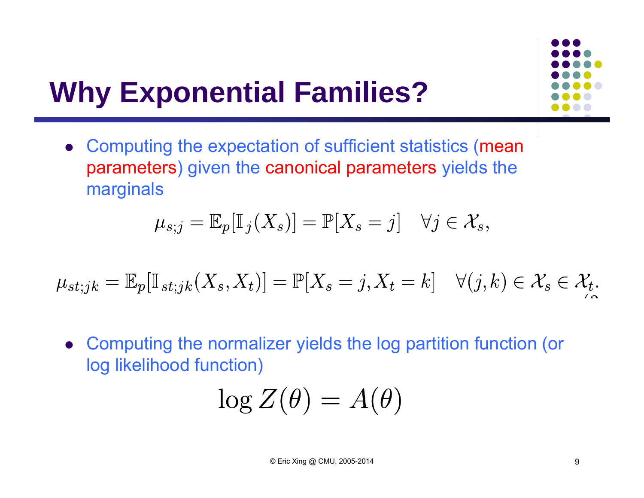

## **Why Exponential Families?**

 Computing the expectation of sufficient statistics (mean parameters) given the canonical parameters yields the marginals

$$
\mu_{s;j} = \mathbb{E}_p[\mathbb{I}_j(X_s)] = \mathbb{P}[X_s = j] \quad \forall j \in \mathcal{X}_s,
$$

$$
\mu_{st;jk} = \mathbb{E}_p[\mathbb{I}_{st;jk}(X_s, X_t)] = \mathbb{P}[X_s = j, X_t = k] \quad \forall (j,k) \in \mathcal{X}_s \in \mathcal{X}_t.
$$

 Computing the normalizer yields the log partition function (or log likelihood function)

$$
\log Z(\theta) = A(\theta)
$$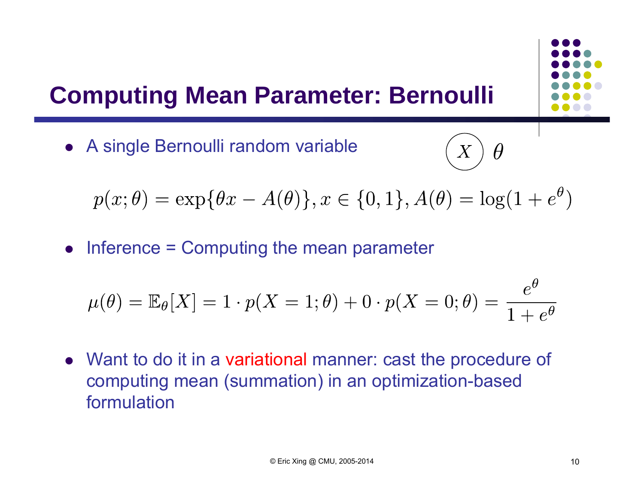#### **Computing Mean Parameter: Bernoulli**

A single Bernoulli random variable



$$
p(x; \theta) = \exp{\theta x - A(\theta)}, x \in \{0, 1\}, A(\theta) = \log(1 + e^{\theta})
$$

• Inference = Computing the mean parameter

$$
\mu(\theta) = \mathbb{E}_{\theta}[X] = 1 \cdot p(X = 1; \theta) + 0 \cdot p(X = 0; \theta) = \frac{e^{\theta}}{1 + e^{\theta}}
$$

• Want to do it in a variational manner: cast the procedure of computing mean (summation) in an optimization-based formulation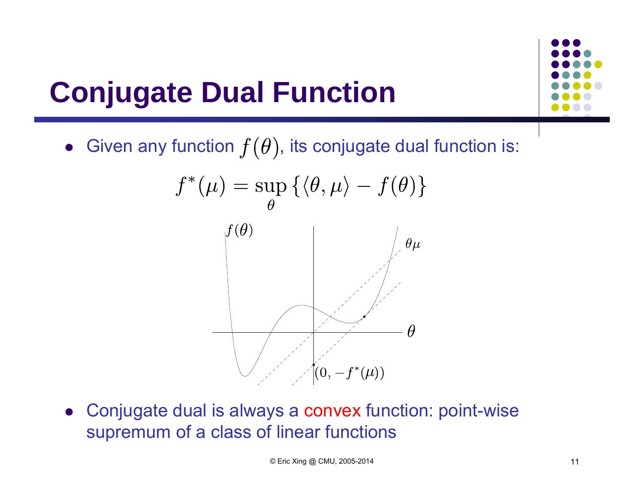### **Conjugate Dual Function**



 $\bullet~$  Given any function  $f(\theta)$ , its conjugate dual function is:



 Conjugate dual is always a convex function: point-wise supremum of a class of linear functions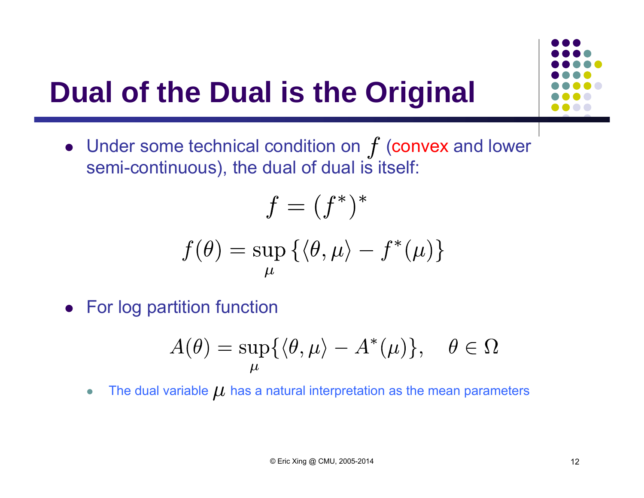

### **Dual of the Dual is the Original**

• Under some technical condition on  $f$  (convex and lower semi-continuous), the dual of dual is itself:

$$
f = (f^*)^*
$$

$$
f(\theta) = \sup_{\mu} \{ \langle \theta, \mu \rangle - f^*(\mu) \}
$$

**•** For log partition function

$$
A(\theta) = \sup_{\mu} \{ \langle \theta, \mu \rangle - A^*(\mu) \}, \quad \theta \in \Omega
$$

 $\bullet$ The dual variable  $\mu$  has a natural interpretation as the mean parameters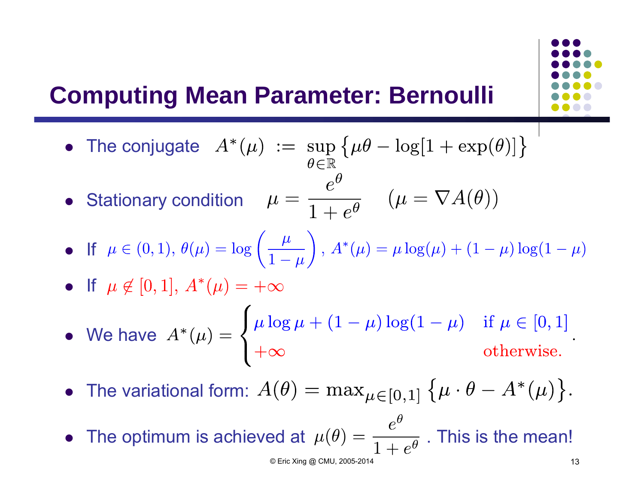#### **Computing Mean Parameter: Bernoulli**

- The conjugate
- **•** Stationary condition

• If 
$$
\mu \in (0, 1), \theta(\mu) = \log \left( \frac{\mu}{1 - \mu} \right), A^*(\mu) = \mu \log(\mu) + (1 - \mu) \log(1 - \mu)
$$

• If 
$$
\mu \notin [0, 1], A^*(\mu) = +\infty
$$

• We have 
$$
A^*(\mu) = \begin{cases} \mu \log \mu + (1 - \mu) \log(1 - \mu) & \text{if } \mu \in [0, 1] \\ +\infty & \text{otherwise.} \end{cases}
$$

• The variational form:

• The optimum is achieved at  $\mu(\theta) = \frac{1}{1-\theta}$  . This is the mean!  $© Eric Xing @ CMU, 2005-2014$  13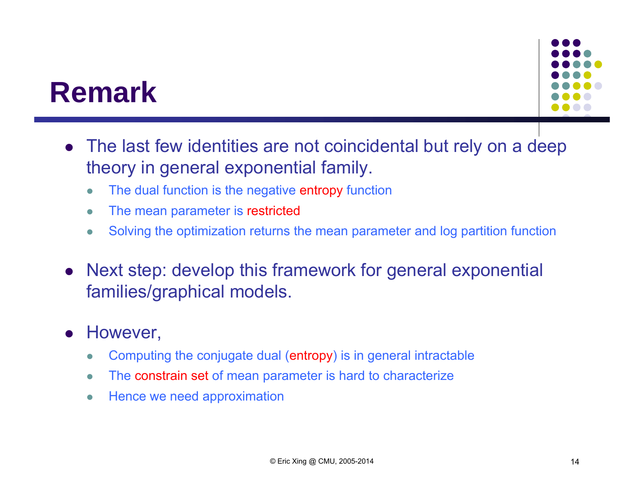### **Remark**

- $\bullet$  The last few identities are not coincidental but rely on a deep theory in general exponential family.
	- $\bullet$ The dual function is the negative entropy function
	- $\bullet$ The mean parameter is restricted
	- $\bullet$ Solving the optimization returns the mean parameter and log partition function
- $\bullet$  Next step: develop this framework for general exponential families/graphical models.
- $\bullet$  However,
	- $\bullet$ Computing the conjugate dual (entropy) is in general intractable
	- $\bullet$ The constrain set of mean parameter is hard to characterize
	- $\bullet$ Hence we need approximation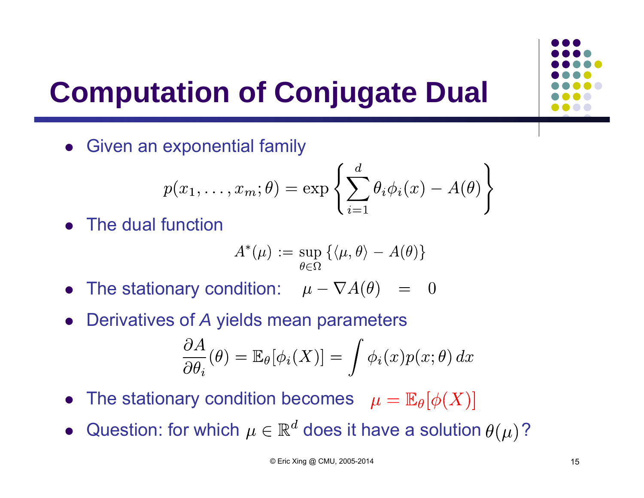

## **Computation of Conjugate Dual**

**•** Given an exponential family

$$
p(x_1, \ldots, x_m; \theta) = \exp \left\{ \sum_{i=1}^d \theta_i \phi_i(x) - A(\theta) \right\}
$$

• The dual function

$$
A^*(\mu) := \sup_{\theta \in \Omega} \left\{ \langle \mu, \theta \rangle - A(\theta) \right\}
$$

- The stationary condition:
- $\bullet$ Derivatives of *A* yields mean parameters

$$
\frac{\partial A}{\partial \theta_i}(\theta) = \mathbb{E}_{\theta}[\phi_i(X)] = \int \phi_i(x) p(x; \theta) dx
$$

- The stationary condition becomes
- $\bullet$ Question: for which  $\mu \in \mathbb{R}^d$  does it have a solution  $\theta(\mu)$ ?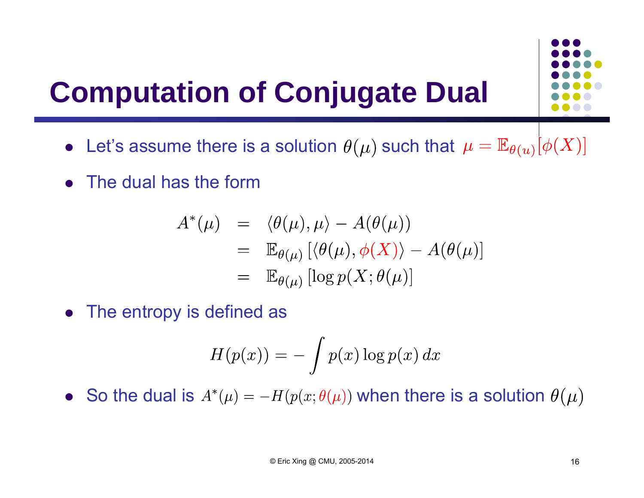### **Computation of Conjugate Dual**

- Let's assume there is a solution  $\theta(\mu)$  such that
- The dual has the form

$$
A^*(\mu) = \langle \theta(\mu), \mu \rangle - A(\theta(\mu))
$$
  
=  $\mathbb{E}_{\theta(\mu)} [\langle \theta(\mu), \phi(X) \rangle - A(\theta(\mu))]$   
=  $\mathbb{E}_{\theta(\mu)} [\log p(X; \theta(\mu))]$ 

• The entropy is defined as

$$
H(p(x)) = -\int p(x) \log p(x) dx
$$

• So the dual is  $A^*(\mu) = -H(p(x;\theta(\mu))$  when there is a solution

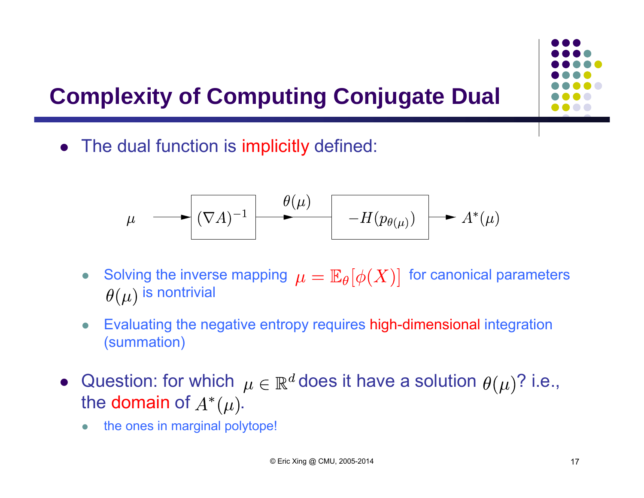#### **Complexity of Computing Conjugate Dual**



 $\bullet$ The dual function is implicitly defined:

$$
\mu \longrightarrow \boxed{(\nabla A)^{-1}} \longrightarrow \frac{\theta(\mu)}{H(p_{\theta(\mu)})} \longrightarrow A^*(\mu)
$$

- $\bullet$ Solving the inverse mapping  $\mu = \mathbb{E}_{\theta}[\phi(X)]$  for canonical parameters  $\theta(\mu)$  is nontrivial
- $\bullet$  Evaluating the negative entropy requires high-dimensional integration (summation)
- Question: for which  $\mu \in \mathbb{R}^d$  does it have a solution  $\theta(\mu)$ ? i.e., the domain of  $A^*(\mu)$ .
	- $\bullet$ the ones in marginal polytope!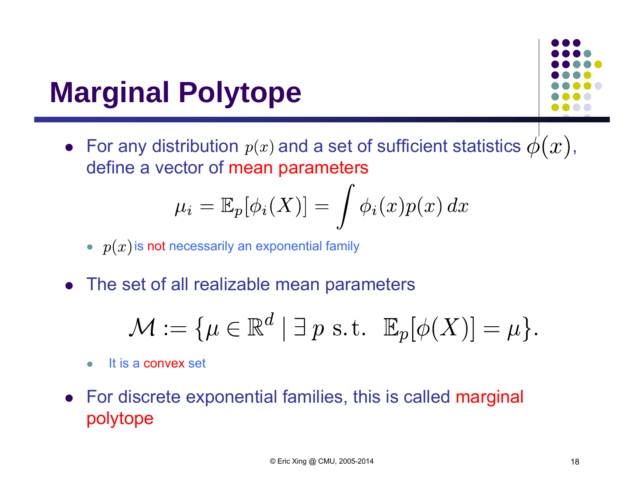### **Marginal Polytope**

 $\bullet~$  For any distribution  $\,p(x)$  and a set of sufficient statistics  $\phi(\,x\,),\,$ define a vector of mean parameters

$$
\mu_i = \mathbb{E}_p[\phi_i(X)] = \int \phi_i(x) p(x) \, dx
$$

- $\bullet~~p(x)$  is not necessarily an exponential family
- $\bullet$ The set of all realizable mean parameters

$$
\mathcal{M} := \{ \mu \in \mathbb{R}^d \mid \exists p \text{ s.t. } \mathbb{E}_p[\phi(X)] = \mu \}.
$$

- $\bullet$ It is a convex set
- For discrete exponential families, this is called marginal polytope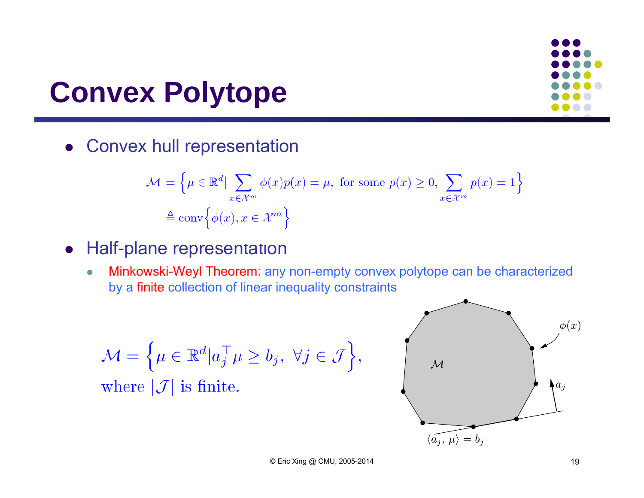#### **Convex Polytope**

**• Convex hull representation** 

$$
\mathcal{M} = \left\{ \mu \in \mathbb{R}^d \mid \sum_{x \in \mathcal{X}^m} \phi(x) p(x) = \mu, \text{ for some } p(x) \ge 0, \sum_{x \in \mathcal{X}^m} p(x) = 1 \right\}
$$

$$
\triangleq \text{conv} \left\{ \phi(x), x \in \mathcal{X}^m \right\}
$$

#### **•** Half-plane representation

 $\bullet$  Minkowski-Weyl Theorem: any non-empty convex polytope can be characterized by a finite collection of linear inequality constraints

$$
\mathcal{M} = \left\{ \mu \in \mathbb{R}^d | a_j^\top \mu \ge b_j, \ \forall j \in \mathcal{J} \right\},\
$$

where  $|\mathcal{J}|$  is finite.

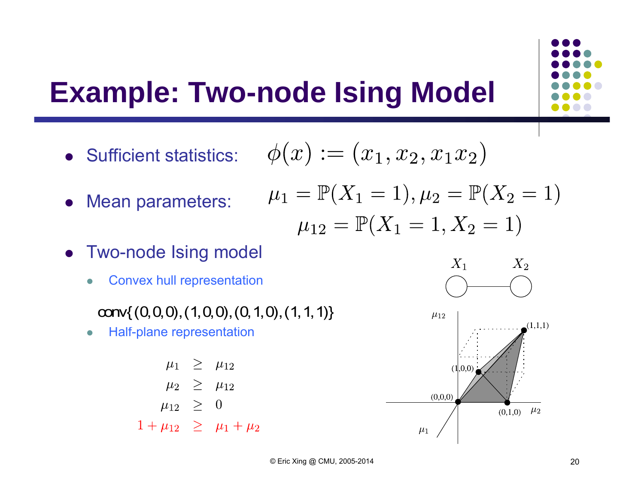#### **Example: Two-node Ising Model**

Sufficient statistics:

$$
\phi(x):=(x_1,x_2,x_1x_2)
$$

 $\mu_1 = \mathbb{P}(X_1 = 1), \mu_2 = \mathbb{P}(X_2 = 1)$ 

- Mean parameters:
- $\mu_{12} = \mathbb{P}(X_1 = 1, X_2 = 1)$  Two-node Ising model
	- $\bullet$ Convex hull representation

conv $\{(0,0,0), (1,0,0), (0,1,0), (1,1,1)\}\$ 

 $\bullet$ Half-plane representation

$$
\begin{array}{rcl}\n\mu_1 & \geq & \mu_{12} \\
\mu_2 & \geq & \mu_{12} \\
\mu_{12} & \geq & 0 \\
1 + \mu_{12} & \geq & \mu_1 + \mu_2\n\end{array}
$$



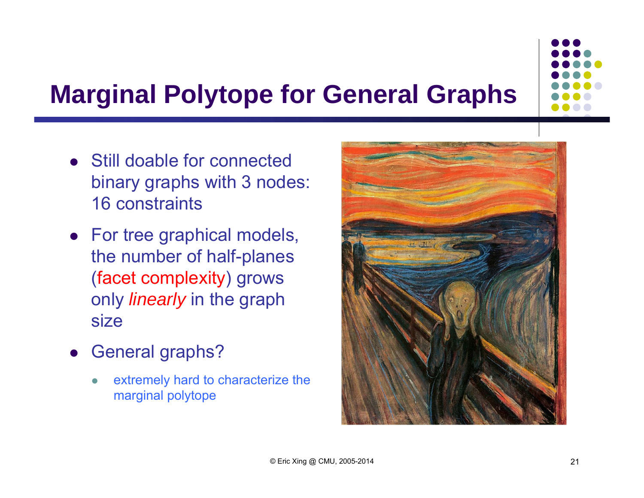

#### **Marginal Polytope for General Graphs**

- Still doable for connected binary graphs with 3 nodes: 16 constraints
- For tree graphical models, the number of half-planes (facet complexity) grows only *linearly* in the graph size
- $\bullet$  General graphs?
	- $\bullet$  extremely hard to characterize the marginal polytope

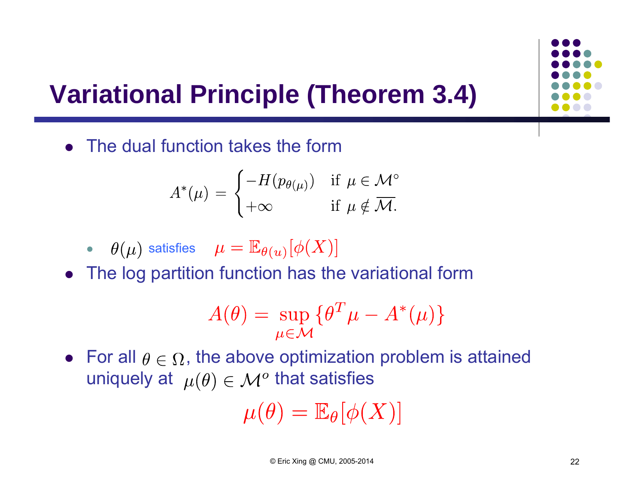#### **Variational Principle (Theorem 3.4)**

The dual function takes the form

$$
A^*(\mu) = \begin{cases} -H(p_{\theta(\mu)}) & \text{if } \mu \in \mathcal{M}^\circ \\ +\infty & \text{if } \mu \notin \overline{\mathcal{M}}. \end{cases}
$$

• 
$$
\theta(\mu)
$$
 satisfies  $\mu = \mathbb{E}_{\theta(u)}[\phi(X)]$ 

The log partition function has the variational form

$$
A(\theta) = \sup_{\mu \in \mathcal{M}} \{ \theta^T \mu - A^*(\mu) \}
$$

• For all  $\theta \in \Omega$ , the above optimization problem is attained uniquely at  $\mu(\theta) \in \mathcal{M}^{\text{o}}$  that satisfies

$$
\mu(\theta) = \mathbb{E}_{\theta}[\phi(X)]
$$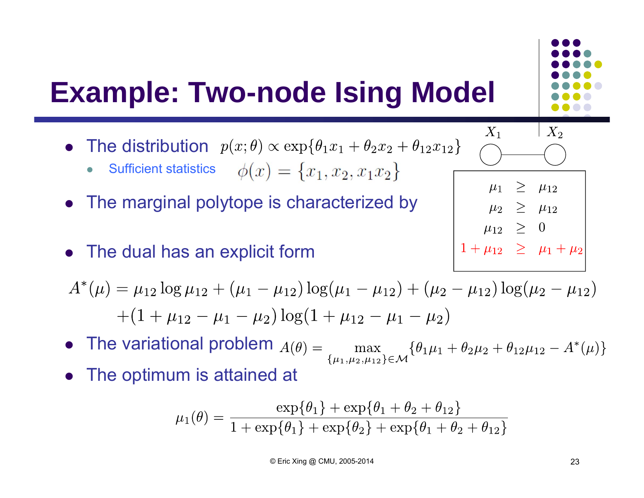

 $1 + \mu_{12} \geq \mu_1 + \mu_2$ 

#### **Example: Two-node Ising Model**

- The distribution
	- $\bullet$ Sufficient statistics  $\phi(x) = \{x_1, x_2, x_1x_2\}$
- The marginal polytope is characterized by
- The dual has an explicit form

 $A^*(\mu) = \mu_{12} \log \mu_{12} + (\mu_1 - \mu_{12}) \log(\mu_1 - \mu_{12}) + (\mu_2 - \mu_{12}) \log(\mu_2 - \mu_{12})$  $+(1+\mu_{12}-\mu_1-\mu_2)\log(1+\mu_{12}-\mu_1-\mu_2)$ 

- The variational problem
- The optimum is attained at

$$
\mu_1(\theta) = \frac{\exp{\{\theta_1\} + \exp{\{\theta_1 + \theta_2 + \theta_{12}\}}}}{1 + \exp{\{\theta_1\} + \exp{\{\theta_2\} + \exp{\{\theta_1 + \theta_2 + \theta_{12}\}}}}
$$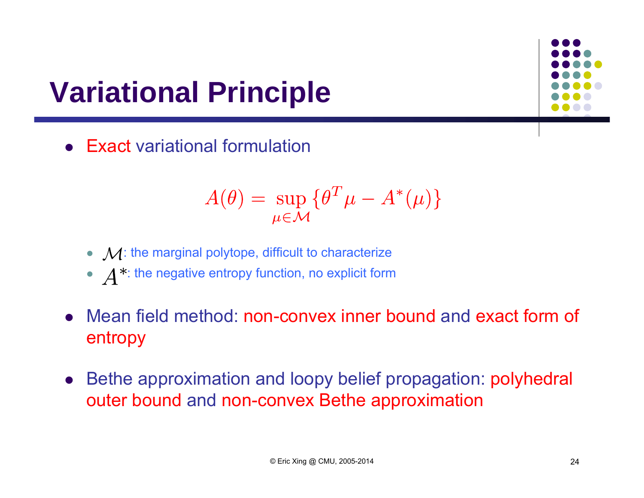### **Variational Principle**

Exact variational formulation

$$
A(\theta) = \sup_{\mu \in \mathcal{M}} \{ \theta^T \mu - A^*(\mu) \}
$$

- $\bullet~~ \mathcal{M}$ : the marginal polytope, difficult to characterize
- $\bullet$   $\Delta^*$ : the negative entropy function, no explicit form
- Mean field method: non-convex inner bound and exact form of entropy
- $\bullet$  Bethe approximation and loopy belief propagation: polyhedral outer bound and non-convex Bethe approximation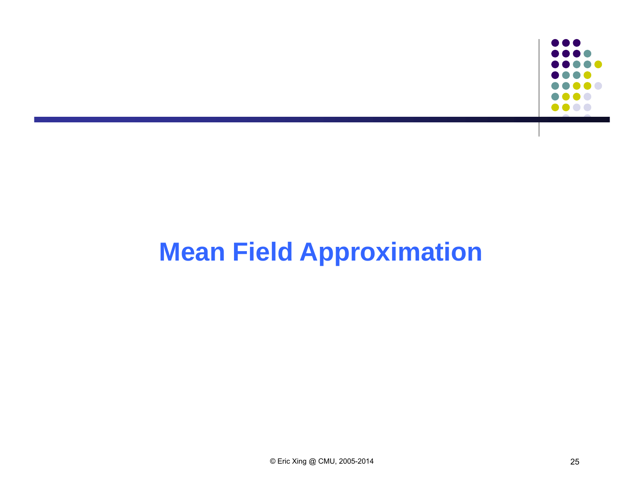

#### **Mean Field Approximation**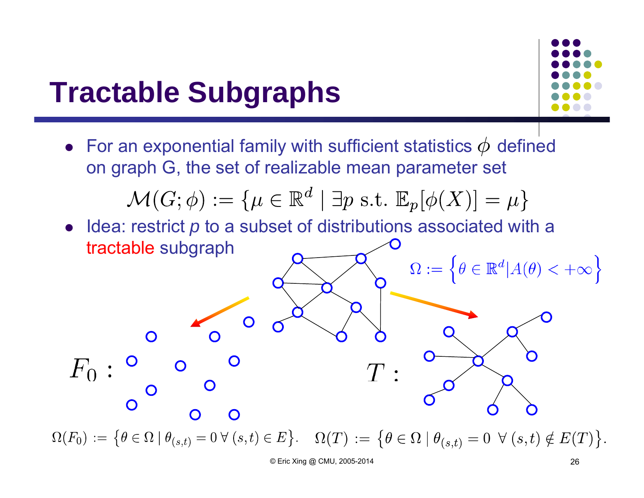#### **Tractable Subgraphs**



 $\bullet~$  For an exponential family with sufficient statistics  $\phi~$  defined on graph G, the set of realizable mean parameter set  $\mathcal{M}(G; \phi) := \{ \mu \in \mathbb{R}^d \mid \exists p \text{ s.t. } \mathbb{E}_p[\phi(X)] = \mu \}$ • Idea: restrict *p* to a subset of distributions associated with a tractable subgraph  $\Omega := \left\{ \theta \in \mathbb{R}^d | A(\theta) < +\infty \right\}$  $\Omega$  $\Omega(F_0) := \{ \theta \in \Omega \mid \theta_{(s,t)} = 0 \ \forall \ (s,t) \in E \}.$   $\Omega(T) := \{ \theta \in \Omega \mid \theta_{(s,t)} = 0 \ \forall \ (s,t) \notin E(T) \}.$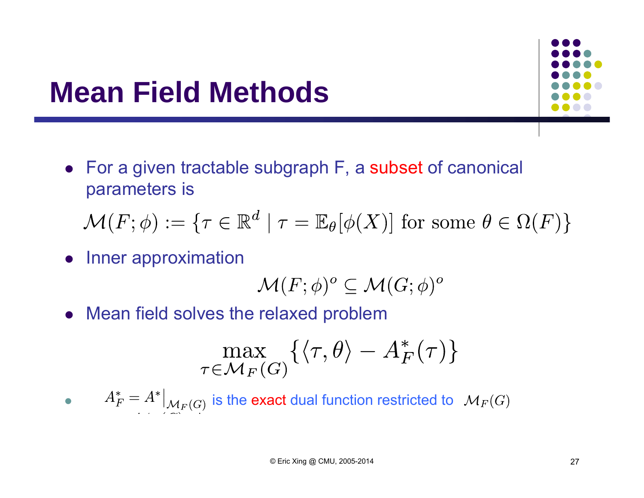#### **Mean Field Methods**

 For a given tractable subgraph F, a subset of canonical parameters is

 $\mathcal{M}(F; \phi) := \{ \tau \in \mathbb{R}^d \mid \tau = \mathbb{E}_{\theta}[\phi(X)] \text{ for some } \theta \in \Omega(F) \}$ 

• Inner approximation

$$
\mathcal{M}(F;\phi)^o \subseteq \mathcal{M}(G;\phi)^o
$$

Mean field solves the relaxed problem

$$
\max_{\tau \in \mathcal{M}_F(G)} \{ \langle \tau, \theta \rangle - A_F^*(\tau) \}
$$

 $\bullet$  $i{\vert A_F^*=A^*\vert}_{\mathcal{M}_F(G)}$  is the exact dual function restricted to  $\mathcal{M}_F(G)$ 

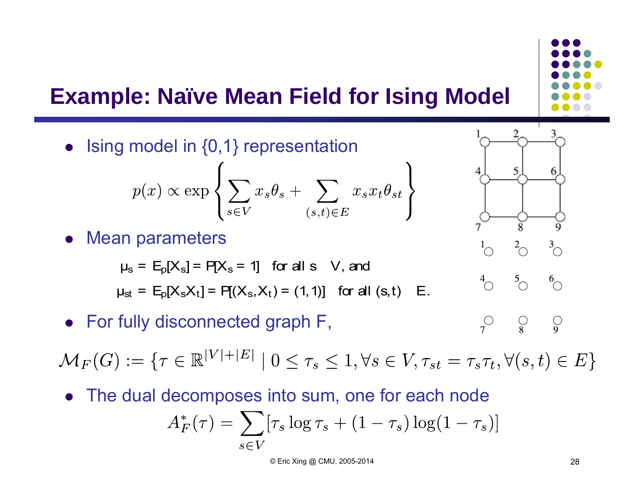

#### **Example: Naïve Mean Field for Ising Model**



The dual decomposes into sum, one for each node

$$
A_F^*(\tau) = \sum_{s \in V} [\tau_s \log \tau_s + (1 - \tau_s) \log (1 - \tau_s)]
$$

© Eric Xing @ CMU, 2005-2014 28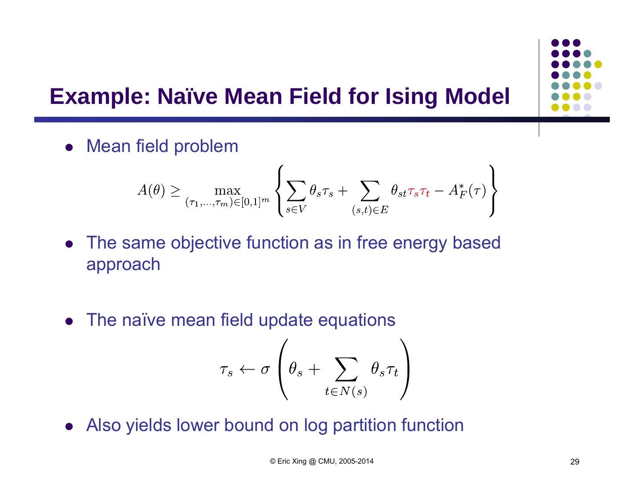#### **Example: Naïve Mean Field for Ising Model**

• Mean field problem

$$
A(\theta) \ge \max_{(\tau_1, \dots, \tau_m) \in [0,1]^m} \left\{ \sum_{s \in V} \theta_s \tau_s + \sum_{(s,t) \in E} \theta_{st} \tau_s \tau_t - A_F^*(\tau) \right\}
$$

- The same objective function as in free energy based approach
- The naïve mean field update equations

$$
\tau_s \leftarrow \sigma \left(\theta_s + \sum_{t \in N(s)} \theta_s \tau_t \right)
$$

Also yields lower bound on log partition function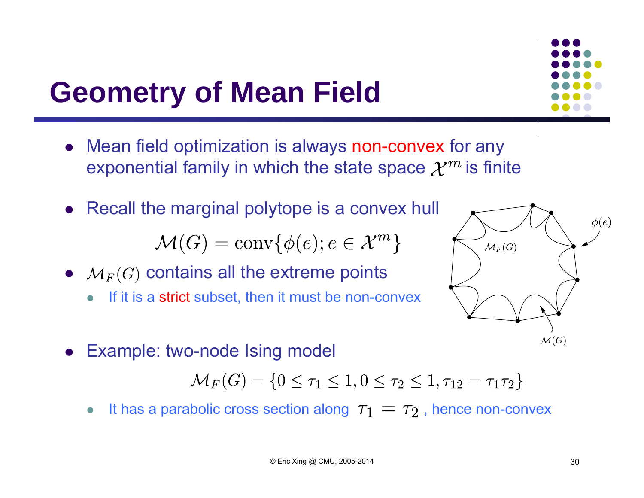### **Geometry of Mean Field**

- Mean field optimization is always non-convex for any exponential family in which the state space  $\mathcal{X}^m$  is finite
- Recall the marginal polytope is a convex hull

 $\mathcal{M}(G) = \text{conv}\{\phi(e); e \in \mathcal{X}^m\}$ 

- $\bullet\quad$   ${\mathcal M}_F(G)$  contains all the extreme points
	- $\bullet$ If it is a strict subset, then it must be non-convex



Example: two-node Ising model

 $\mathcal{M}_F(G) = \{0 \leq \tau_1 \leq 1, 0 \leq \tau_2 \leq 1, \tau_{12} = \tau_1 \tau_2\}$ 

 $\bullet$ It has a parabolic cross section along  $\tau_1 = \tau_2$ , hence non-convex  $\phi(e)$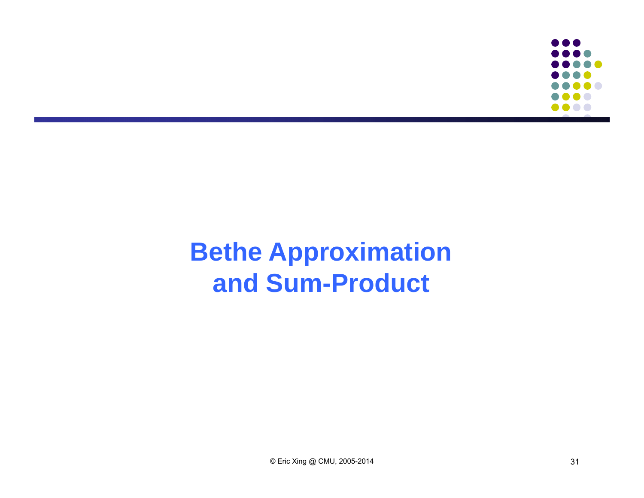

#### **Bethe Approximation and Sum-Product**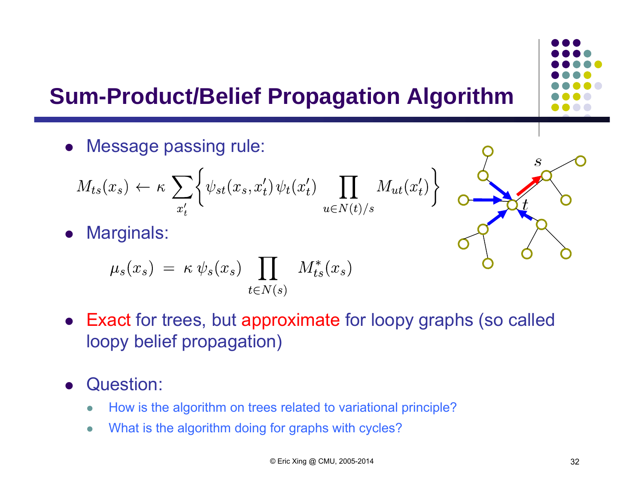#### **Sum-Product/Belief Propagation Algorithm**

Message passing rule:

$$
M_{ts}(x_s) \leftarrow \kappa \sum_{x'_t} \left\{ \psi_{st}(x_s, x'_t) \psi_t(x'_t) \prod_{u \in N(t)/s} M_{ut}(x'_t) \right\}
$$

 $\bullet$ Marginals:

$$
\mu_s(x_s) = \kappa \psi_s(x_s) \prod_{t \in N(s)} M_{ts}^*(x_s)
$$

- Exact for trees, but approximate for loopy graphs (so called loopy belief propagation)
- $\bullet$  Question:
	- $\bullet$ How is the algorithm on trees related to variational principle?
	- $\bullet$ What is the algorithm doing for graphs with cycles?

 $\mathcal{S}_{0}$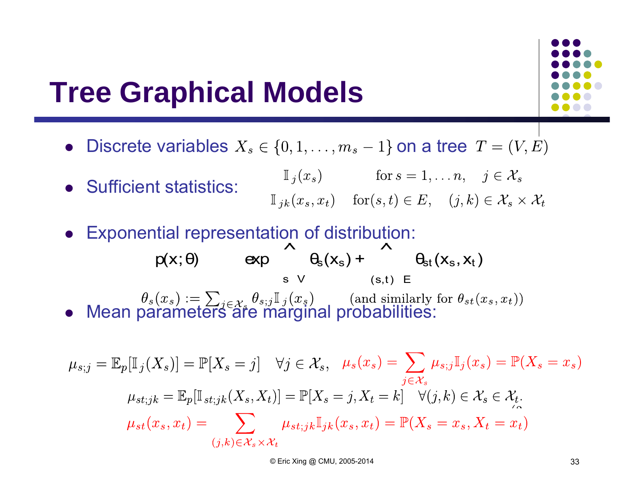#### **Tree Graphical Models**



- $\bullet$ Discrete variables  $X_s \in \{0, 1, \ldots, m_s - 1\}$  on a tree  $T = (V, E)$
- $\mathbb{I}_j(x_s)$  for  $s = 1, ..., n, j \in \mathcal{X}_s$  Sufficient statistics:  $\mathbb{I}_{jk}(x_s, x_t)$  for  $(s, t) \in E$ ,  $(j, k) \in \mathcal{X}_s \times \mathcal{X}_t$
- Exponential representation of distribution:  $\lambda$

• Mean parameters are marginal probabilities:  $p(x; \theta)$ θ)  $\exp$  θ<sub>s</sub>(x<sub>s</sub>) + θ<sub>st</sub>(x<sub>s</sub>, x<sub>t</sub>) sV  $(s,t)$   $\in$ 

$$
\mu_{s;j} = \mathbb{E}_p[\mathbb{I}_j(X_s)] = \mathbb{P}[X_s = j] \quad \forall j \in \mathcal{X}_s, \quad \mu_s(x_s) = \sum_{j \in \mathcal{X}_s} \mu_{s;j} \mathbb{I}_j(x_s) = \mathbb{P}(X_s = x_s)
$$

$$
\mu_{st;jk} = \mathbb{E}_p[\mathbb{I}_{st;jk}(X_s, X_t)] = \mathbb{P}[X_s = j, X_t = k] \quad \forall (j,k) \in \mathcal{X}_s \in \mathcal{X}_t.
$$

$$
\mu_{st}(x_s, x_t) = \sum_{(j,k) \in \mathcal{X}_s \times \mathcal{X}_t} \mu_{st;jk} \mathbb{I}_{jk}(x_s, x_t) = \mathbb{P}(X_s = x_s, X_t = x_t)
$$

© Eric Xing @ CMU, 2005-2014 33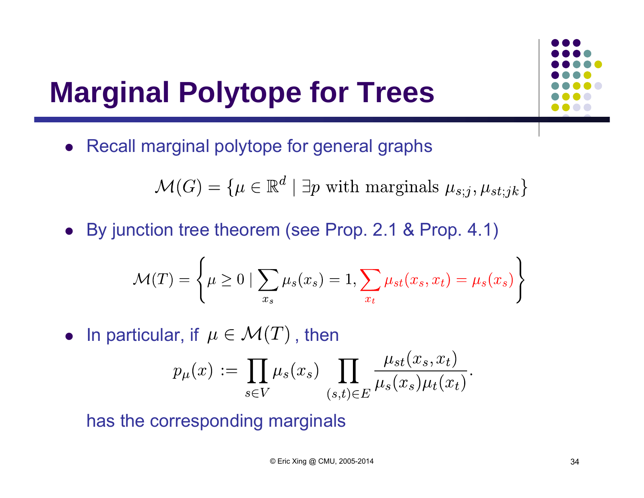### **Marginal Polytope for Trees**

• Recall marginal polytope for general graphs

 $\mathcal{M}(G) = \{ \mu \in \mathbb{R}^d \mid \exists p \text{ with marginals } \mu_{s:i}, \mu_{st:ik} \}$ 

By junction tree theorem (see Prop. 2.1 & Prop. 4.1)

$$
\mathcal{M}(T) = \left\{ \mu \ge 0 \mid \sum_{x_s} \mu_s(x_s) = 1, \sum_{x_t} \mu_{st}(x_s, x_t) = \mu_s(x_s) \right\}
$$

• In particular, if  $\mu \in \mathcal{M}(T)$  , then

$$
p_{\mu}(x) := \prod_{s \in V} \mu_s(x_s) \prod_{(s,t) \in E} \frac{\mu_{st}(x_s, x_t)}{\mu_s(x_s)\mu_t(x_t)}.
$$

has the corresponding marginals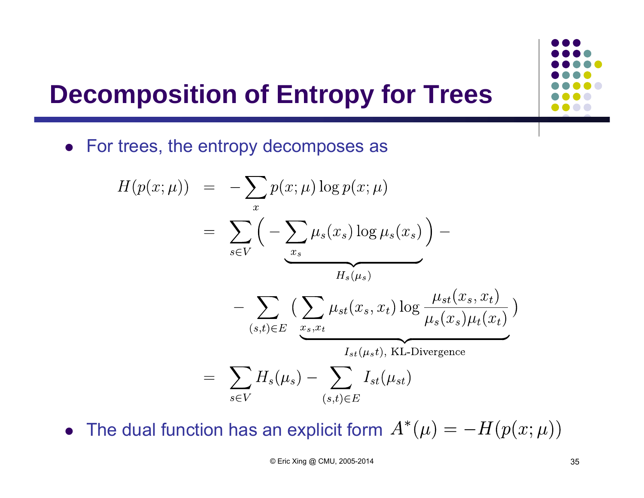#### **Decomposition of Entropy for Trees**

For trees, the entropy decomposes as

$$
H(p(x; \mu)) = -\sum_{x} p(x; \mu) \log p(x; \mu)
$$
  
= 
$$
\sum_{s \in V} \left( -\sum_{x_s} \mu_s(x_s) \log \mu_s(x_s) \right) -
$$
  

$$
- \sum_{(s,t) \in E} \left( \sum_{x_s, x_t} \mu_{st}(x_s, x_t) \log \frac{\mu_{st}(x_s, x_t)}{\mu_s(x_s)\mu_t(x_t)} \right)
$$
  
= 
$$
\sum_{s \in V} H_s(\mu_s) - \sum_{(s,t) \in E} I_{st}(\mu_{st})
$$

The dual function has an explicit form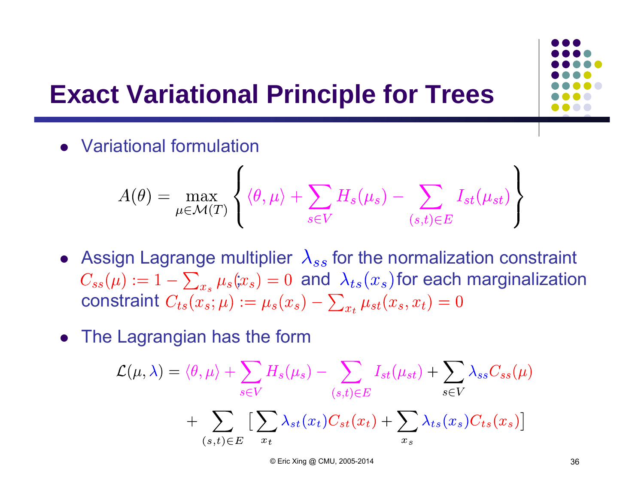#### **Exact Variational Principle for Trees**

Variational formulation

$$
A(\theta) = \max_{\mu \in \mathcal{M}(T)} \left\{ \langle \theta, \mu \rangle + \sum_{s \in V} H_s(\mu_s) - \sum_{(s,t) \in E} I_{st}(\mu_{st}) \right\}
$$

- Assign Lagrange multiplier  $\lambda_{ss}$  for the normalization constraint  $C_{ss}(\mu) := 1 - \sum_{x_s} \mu_s(x_s) = 0$  and  $\lambda_{ts}(x_s)$  for each marginalization constraint
- The Lagrangian has the form

$$
\mathcal{L}(\mu, \lambda) = \langle \theta, \mu \rangle + \sum_{s \in V} H_s(\mu_s) - \sum_{(s,t) \in E} I_{st}(\mu_{st}) + \sum_{s \in V} \lambda_{ss} C_{ss}(\mu)
$$

$$
+ \sum_{(s,t) \in E} \left[ \sum_{x_t} \lambda_{st}(x_t) C_{st}(x_t) + \sum_{x_s} \lambda_{ts}(x_s) C_{ts}(x_s) \right]
$$

© Eric Xing @ CMU, 2005-2014 36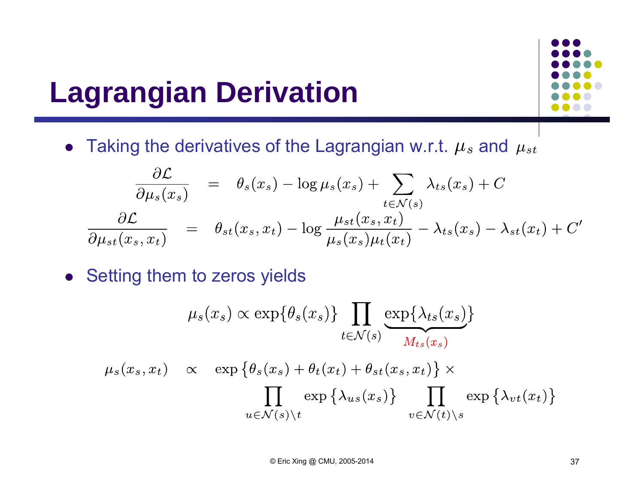### **Lagrangian Derivation**



• Taking the derivatives of the Lagrangian w.r.t.  $\mu_s$  and

$$
\frac{\partial \mathcal{L}}{\partial \mu_s(x_s)} = \theta_s(x_s) - \log \mu_s(x_s) + \sum_{t \in \mathcal{N}(s)} \lambda_{ts}(x_s) + C
$$
  

$$
\frac{\partial \mathcal{L}}{\partial \mu_{st}(x_s, x_t)} = \theta_{st}(x_s, x_t) - \log \frac{\mu_{st}(x_s, x_t)}{\mu_s(x_s)\mu_t(x_t)} - \lambda_{ts}(x_s) - \lambda_{st}(x_t) + C'
$$

• Setting them to zeros yields

$$
\mu_s(x_s) \propto \exp\{\theta_s(x_s)\} \prod_{t \in \mathcal{N}(s)} \exp\{\lambda_{ts}(x_s)\}
$$

$$
\mu_s(x_s, x_t) \propto \exp\{\theta_s(x_s) + \theta_t(x_t) + \theta_{st}(x_s, x_t)\} \times \prod_{u \in \mathcal{N}(s) \backslash t} \exp\{\lambda_{us}(x_s)\} \prod_{v \in \mathcal{N}(t) \backslash s} \exp\{\lambda_{vt}(x_t)\}
$$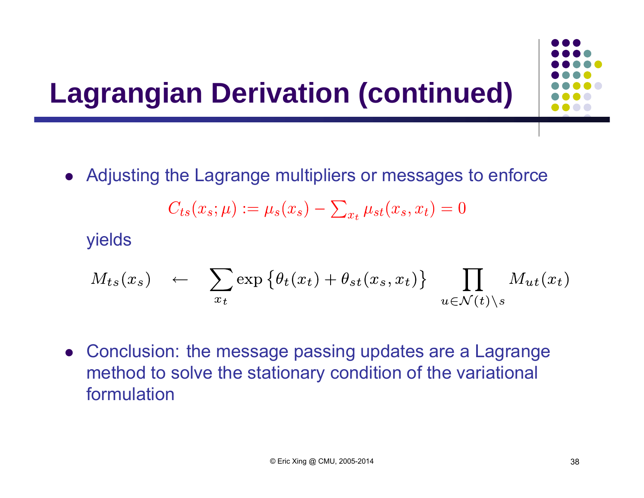### **Lagrangian Derivation (continued)**

Adjusting the Lagrange multipliers or messages to enforce

$$
C_{ts}(x_s; \mu) := \mu_s(x_s) - \sum_{x_t} \mu_{st}(x_s, x_t) = 0
$$

yields

$$
M_{ts}(x_s) \leftarrow \sum_{x_t} \exp \left\{ \theta_t(x_t) + \theta_{st}(x_s, x_t) \right\} \prod_{u \in \mathcal{N}(t) \setminus s} M_{ut}(x_t)
$$

 Conclusion: the message passing updates are a Lagrange method to solve the stationary condition of the variational formulation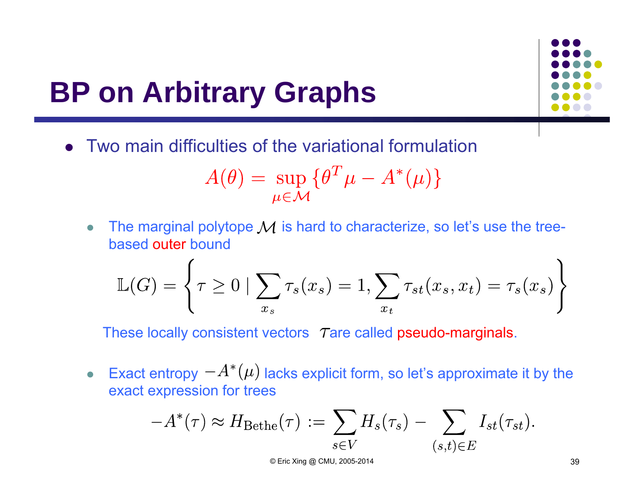### **BP on Arbitrary Graphs**

Two main difficulties of the variational formulation

$$
A(\theta) = \sup_{\mu \in \mathcal{M}} \{ \theta^T \mu - A^*(\mu) \}
$$

 $\bullet$ The marginal polytope  $\mathcal M$  is hard to characterize, so let's use the treebased outer bound

$$
\mathbb{L}(G) = \left\{ \tau \ge 0 \mid \sum_{x_s} \tau_s(x_s) = 1, \sum_{x_t} \tau_{st}(x_s, x_t) = \tau_s(x_s) \right\}
$$

These locally consistent vectors  $\tau$  are called pseudo-marginals.

 $\bullet$ Exact entropy  $-A^*(\mu)$  lacks explicit form, so let's approximate it by the exact expression for trees

$$
-A^*(\tau) \approx H_{\text{Bethe}}(\tau) := \sum_{s \in V} H_s(\tau_s) - \sum_{(s,t) \in E} I_{st}(\tau_{st}).
$$

© Eric Xing @ CMU, 2005-2014 39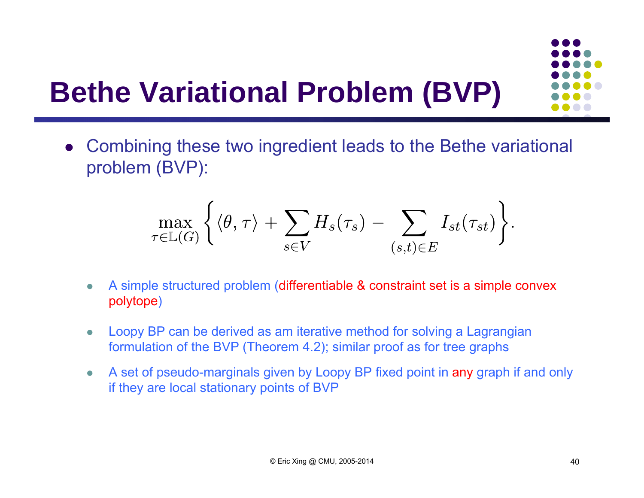## **Bethe Variational Problem (BVP)**



$$
\max_{\tau \in \mathbb{L}(G)} \left\{ \langle \theta, \tau \rangle + \sum_{s \in V} H_s(\tau_s) - \sum_{(s,t) \in E} I_{st}(\tau_{st}) \right\}.
$$

- $\bullet$  A simple structured problem (differentiable & constraint set is a simple convex polytope)
- $\bullet$  Loopy BP can be derived as am iterative method for solving a Lagrangian formulation of the BVP (Theorem 4.2); similar proof as for tree graphs
- $\bullet$  A set of pseudo-marginals given by Loopy BP fixed point in any graph if and only if they are local stationary points of BVP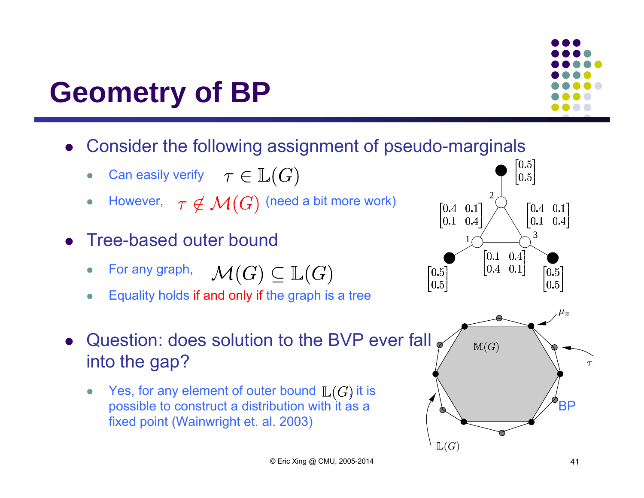### **Geometry of BP**

- $\bullet$  Consider the following assignment of pseudo-marginals
	- $\bullet$ Can easily verify  $\tau \in \mathbb{L}(G)$
	- $\bullet$ However,  $\tau \notin \mathcal{M}(G)$  (need a bit more work)
- $\bullet$  Tree-based outer bound
	- For any graph,  $\mathcal{M}(G) \subseteq \mathbb{L}(G)$  $\bullet$
	- $\bullet$ Equality holds if and only if the graph is a tree



 $\bullet$ Yes, for any element of outer bound  $\mathbb{L}(G)$  it is possible to construct a distribution with it as a  $\mathbb{Z}$ fixed point (Wainwright et. al. 2003)



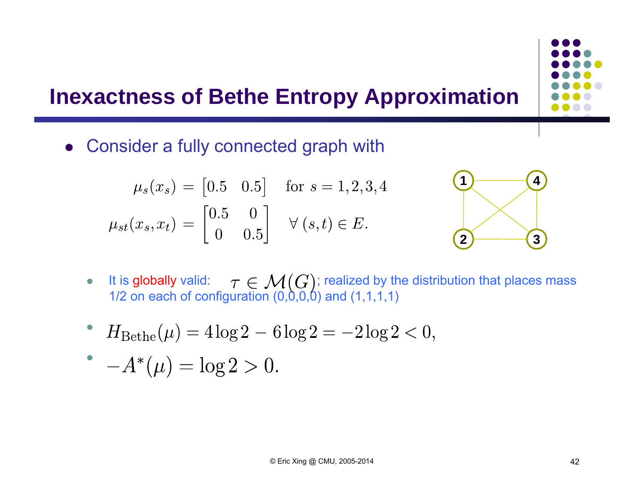#### **Inexactness of Bethe Entropy Approximation**

Consider a fully connected graph with

$$
\mu_s(x_s) = [0.5 \quad 0.5] \quad \text{for } s = 1, 2, 3, 4
$$

$$
\mu_{st}(x_s, x_t) = \begin{bmatrix} 0.5 & 0 \\ 0 & 0.5 \end{bmatrix} \quad \forall (s, t) \in E.
$$



- $\bullet$  $\bullet$  It is globally valid:  $\tau \in \mathcal{M}(\mathcal{C})$ ; realized by the distribution that places mass 1/2 on each of configuration (0,0,0,0) and (1,1,1,1)
- $H_{\text{Bethe}}(\mu) = 4\log 2 6\log 2 = -2\log 2 < 0,$  $\bullet$

$$
-A^*(\mu) = \log 2 > 0.
$$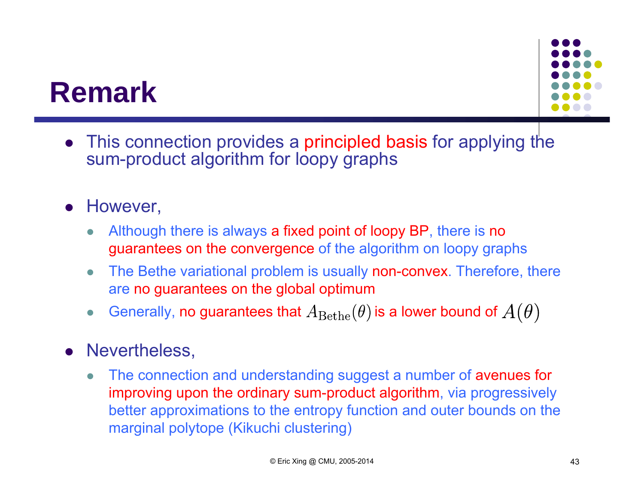#### **Remark**

 This connection provides a principled basis for applying the sum-product algorithm for loopy graphs

#### $\bullet$ However,

- $\bullet$  Although there is always a fixed point of loopy BP, there is no guarantees on the convergence of the algorithm on loopy graphs
- $\bullet$  The Bethe variational problem is usually non-convex. Therefore, there are no guarantees on the global optimum
- $\bullet$ Generally, no guarantees that  $A_{\text{Bethe}}(\theta)$  is a lower bound of  $A(\theta)$

#### **•** Nevertheless,

 $\bullet$  The connection and understanding suggest a number of avenues for improving upon the ordinary sum-product algorithm, via progressively better approximations to the entropy function and outer bounds on the marginal polytope (Kikuchi clustering)